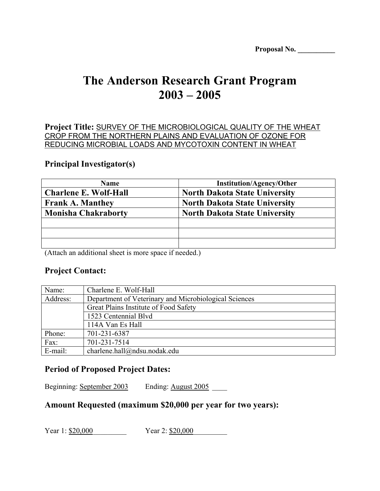| Proposal No. |  |
|--------------|--|
|              |  |

# **The Anderson Research Grant Program 2003 – 2005**

**Project Title:** SURVEY OF THE MICROBIOLOGICAL QUALITY OF THE WHEAT CROP FROM THE NORTHERN PLAINS AND EVALUATION OF OZONE FOR REDUCING MICROBIAL LOADS AND MYCOTOXIN CONTENT IN WHEAT

#### **Principal Investigator(s)**

| <b>Name</b>                  | <b>Institution/Agency/Other</b>      |
|------------------------------|--------------------------------------|
| <b>Charlene E. Wolf-Hall</b> | <b>North Dakota State University</b> |
| <b>Frank A. Manthey</b>      | <b>North Dakota State University</b> |
| <b>Monisha Chakraborty</b>   | <b>North Dakota State University</b> |
|                              |                                      |
|                              |                                      |
|                              |                                      |

(Attach an additional sheet is more space if needed.)

## **Project Contact:**

| Name:    | Charlene E. Wolf-Hall                                 |
|----------|-------------------------------------------------------|
| Address: | Department of Veterinary and Microbiological Sciences |
|          | Great Plains Institute of Food Safety                 |
|          | 1523 Centennial Blvd                                  |
|          | 114A Van Es Hall                                      |
| Phone:   | 701-231-6387                                          |
| Fax:     | 701-231-7514                                          |
| E-mail:  | charlene.hall@ndsu.nodak.edu                          |

### **Period of Proposed Project Dates:**

Beginning: September 2003 Ending: August 2005

### **Amount Requested (maximum \$20,000 per year for two years):**

Year 1: \$20,000 Year 2: \$20,000